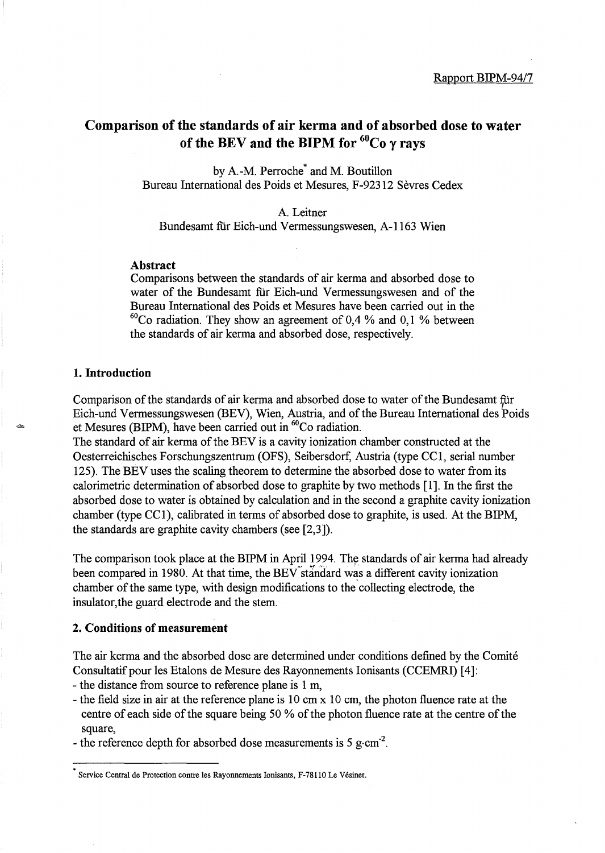# **Comparison of the standards of air kerma and of absorbed dose to water**  of the BEV and the BIPM for  ${}^{60}Co$   $\gamma$  rays

by A-M. Perroche\* and M. Boutillon Bureau International des Poids et Mesures, F-92312 Sevres Cedex

A Leitner Bundesamt fur Eich-und Vermessungswesen, A-1163 Wien

### **Abstract**

Comparisons between the standards of air kerma and absorbed dose to water of the Bundesamt fur Eich-und Vermessungswesen and of the Bureau International des Poids et Mesures have been carried out in the  $60^{\circ}$ Co radiation. They show an agreement of 0,4 % and 0,1 % between the standards of air kerma and absorbed dose, respectively.

### **1. Introduction**

Comparison of the standards of air kerma and absorbed dose to water of the Bundesamt für Eich-und Vermessungswesen (BEV), Wien, Austria, and of the Bureau International des Poids et Mesures (BIPM), have been carried out in  ${}^{60}$ Co radiation.

The standard of air kerma of the BEV is a cavity ionization chamber constructed at the Oesterreichisches Forschungszentrum (OFS), Seibersdorf, Austria (type CC1, serial number 125). The BEV uses the scaling theorem to determine the absorbed dose to water from its calorimetric determination of absorbed dose to graphite by two methods [1]. In the first the absorbed dose to water is obtained by calculation and in the second a graphite cavity ionization chamber (type CC1), calibrated in terms of absorbed dose to graphite, is used. At the BIPM, the standards are graphite cavity chambers (see [2,3]).

The comparison took place at the BIPM in April 1994. The standards of air kerma had already been compared in 1980. At that time, the BEV standard was a different cavity ionization chamber of the same type, with design modifications to the collecting electrode, the insulator,the guard electrode and the stem.

## **2. Conditions of measurement**

The air kerma and the absorbed dose are determined under conditions defined by the Comite Consultatif pour les Etalons de Mesure des Rayonnements Ionisants (CCEMRI) [4]:

- the distance from source to reference plane is 1 m,
- the field size in air at the reference plane is 10 cm x 10 cm, the photon fluence rate at the centre of each side of the square being 50 % of the photon fluence rate at the centre of the square,
- the reference depth for absorbed dose measurements is 5 g·cm<sup>-2</sup>.

Service Central de Protection contre les Rayonnements Ionisants, F-78110 Le Vesinet.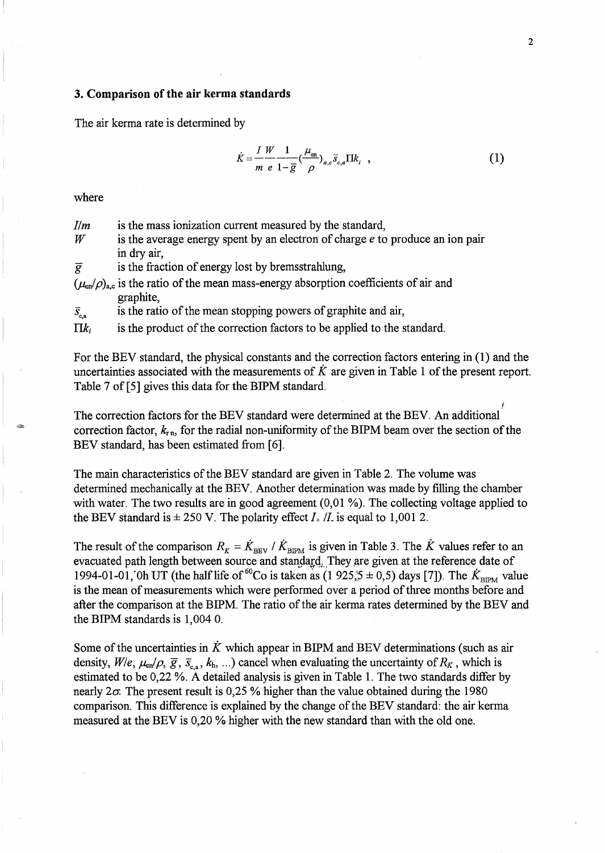### **3. Comparison of the air kerma standards**

The air kerma rate is determined by

$$
\dot{K} = \frac{I}{m} \frac{W}{e} \frac{1}{1 - \overline{g}} \left(\frac{\mu_{\text{en}}}{\rho}\right)_{a,c} \overline{s}_{c,a} \Pi k_i \quad , \tag{1}
$$

where

| $\mathcal{I}/m$ | is the mass ionization current measured by the standard,                                       |
|-----------------|------------------------------------------------------------------------------------------------|
| $\it W$         | is the average energy spent by an electron of charge $e$ to produce an ion pair<br>in dry air, |
| $\overline{g}$  | is the fraction of energy lost by bremsstrahlung.                                              |
|                 | $(\mu_n/\rho)$ , is the ratio of the mean mass-energy absorption coefficients of air and       |

 $(\mu_{en}/\rho)_{a,c}$  is the ratio of the mean mass-energy absorption coefficients of air and graphite,

 $\bar{s}_{\rm c}$  is the ratio of the mean stopping powers of graphite and air,

 $\prod k_i$  is the product of the correction factors to be applied to the standard.

For the BEV standard, the physical constants and the correction factors entering in (1) and the uncertainties associated with the measurements of  $\ddot{K}$  are given in Table 1 of the present report. Table 7 of [5] gives this data for the BIPM standard.

f The correction factors for the BEV standard were determined at the BEY. An additional correction factor,  $k_{\text{r,n}}$ , for the radial non-uniformity of the BIPM beam over the section of the BEV standard, has been estimated from [6].

The main characteristics of the BEV standard are given in Table 2. The volume was determined mechanically at the BEY. Another determination was made by filling the chamber with water. The two results are in good agreement (0,01 %). The collecting voltage applied to the BEV standard is  $\pm 250$  V. The polarity effect  $I_+ / I$  is equal to 1,001 2.

The result of the comparison  $R_K = \dot{K}_{\text{BEV}} / \dot{K}_{\text{BEM}}$  is given in Table 3. The  $\dot{K}$  values refer to an evacuated path length between source and standard. They are given at the reference date of 1994-01-01, Oh UT (the half life of <sup>60</sup>Co is taken as (1 925,5  $\pm$  0,5) days [7]). The  $K_{\text{BIPM}}$  value is the mean of measurements which were performed over a period of three months before and after the comparison at the BIPM. The ratio of the air kerma rates determined by the BEV and the BIPM standards is 1,004 O.

Some of the uncertainties in  $\tilde{K}$  which appear in BIPM and BEV determinations (such as air density,  $W/e$ ,  $\mu_{en}/\rho$ ,  $\bar{g}$ ,  $\bar{s}_{e}$ ,  $k_h$ , ...) cancel when evaluating the uncertainty of  $R_K$ , which is estimated to be 0,22 %. A detailed analysis is given in Table 1. The two standards differ by nearly  $2\sigma$ . The present result is 0,25 % higher than the value obtained during the 1980 comparison. This difference is explained by the change of the BEV standard: the air kerma measured at the BEV is 0,20 % higher with the new standard than with the old one.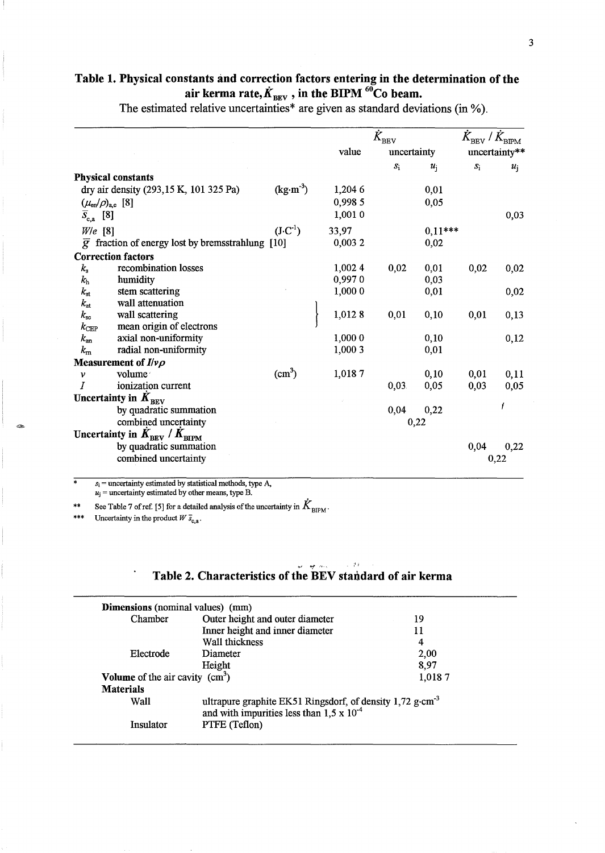# Table 1. Physical constants and correction factors entering in the determination of the air kerma rate,  $\dot{K}_{\text{BEV}}$  , in the BIPM <sup>60</sup>Co beam.

The estimated relative uncertainties\* are given as standard deviations (in %).

|                          |                                                               |                    |         | $\tilde{K}_{\text{BEV}}$ |             |                    |       |
|--------------------------|---------------------------------------------------------------|--------------------|---------|--------------------------|-------------|--------------------|-------|
|                          |                                                               |                    | value   | uncertainty              |             | uncertainty**      |       |
|                          |                                                               |                    |         | $\boldsymbol{S}_1$       | $u_{\rm i}$ | $\boldsymbol{S}_1$ | $u_i$ |
|                          | <b>Physical constants</b>                                     |                    |         |                          |             |                    |       |
|                          | dry air density (293,15 K, 101 325 Pa)                        | $(kg·m-3)$         | 1,204 6 |                          | 0,01        |                    |       |
|                          | $(\mu_{en}/\rho)_{a,c}$ [8]                                   |                    | 0,998 5 |                          | 0,05        |                    |       |
| $\overline{S}_{c,a}$ [8] |                                                               |                    | 1,001 0 |                          |             |                    | 0,03  |
| $W/e$ [8]                |                                                               | $(J \cdot C^{-1})$ | 33,97   |                          | $0,11***$   |                    |       |
|                          | $\overline{g}$ fraction of energy lost by bremsstrahlung [10] |                    | 0,0032  |                          | 0,02        |                    |       |
|                          | <b>Correction factors</b>                                     |                    |         |                          |             |                    |       |
| $k_{\rm s}$              | recombination losses                                          |                    | 1,002 4 | 0,02                     | 0,01        | 0,02               | 0,02  |
| $k_{\rm h}$              | humidity                                                      |                    | 0,9970  |                          | 0,03        |                    |       |
| $k_{\rm st}$             | stem scattering                                               |                    | 1,0000  |                          | 0,01        |                    | 0,02  |
| $k_{\rm at}$             | wall attenuation                                              |                    |         |                          |             |                    |       |
| $k_{\rm sc}$             | wall scattering                                               |                    | 1,0128  | 0,01                     | 0,10        | 0,01               | 0,13  |
| $k_{\rm CEP}$            | mean origin of electrons                                      |                    |         |                          |             |                    |       |
| $k_{\rm an}$             | axial non-uniformity                                          |                    | 1,000 0 |                          | 0,10        |                    | 0,12  |
| $k_{\rm m}$              | radial non-uniformity                                         |                    | 1,000 3 |                          | 0,01        |                    |       |
|                          | Measurement of $I/\nu\rho$                                    |                    |         |                          |             |                    |       |
| $\mathcal V$             | volume                                                        | $\text{cm}^3$ )    | 1,0187  |                          | 0,10        | 0,01               | 0,11  |
|                          | ionization current                                            |                    |         | 0,03.                    | 0,05        | 0,03               | 0,05  |
|                          | Uncertainty in $K_{\text{BEV}}$                               |                    |         |                          |             |                    |       |
|                          | by quadratic summation                                        |                    |         | 0,04                     | 0,22        |                    |       |
|                          | combined uncertainty                                          |                    |         |                          | 0,22        |                    |       |
|                          | Uncertainty in $K_{\text{BEV}}$ / $K_{\text{BIPM}}$           |                    |         |                          |             |                    |       |
|                          | by quadratic summation                                        |                    |         |                          |             | 0,04               | 0,22  |
|                          | combined uncertainty                                          |                    |         |                          |             |                    | 0,22  |
|                          |                                                               |                    |         |                          |             |                    |       |

 $s_i$  = uncertainty estimated by statistical methods, type A,  $u_j$  = uncertainty estimated by other means, type B.

\*\* See Table 7 of ref. [5] for a detailed analysis of the uncertainty in  $\dot{K}_{\text{BIPM}}$ .

Uncertainty in the product  $W \bar{s}_{c,a}$ .

 $~\sim$ 

#### i<br>Wilayah meng Table 2. Characteristics of the BEV standard of air kerma

 $\sim$  24

| <b>Dimensions</b> (nominal values) (mm) |                                                                                                                          |        |  |  |
|-----------------------------------------|--------------------------------------------------------------------------------------------------------------------------|--------|--|--|
| Chamber                                 | Outer height and outer diameter                                                                                          | 19     |  |  |
|                                         | Inner height and inner diameter                                                                                          | 11     |  |  |
|                                         | Wall thickness                                                                                                           | 4      |  |  |
| Electrode                               | Diameter                                                                                                                 | 2,00   |  |  |
|                                         | Height                                                                                                                   | 8,97   |  |  |
| Volume of the air cavity $(cm3)$        |                                                                                                                          | 1,0187 |  |  |
| <b>Materials</b>                        |                                                                                                                          |        |  |  |
| Wall                                    | ultrapure graphite EK51 Ringsdorf, of density 1,72 g·cm <sup>-3</sup> and with impurities less than $1,5 \times 10^{-4}$ |        |  |  |
| Insulator                               | PTFE (Teflon)                                                                                                            |        |  |  |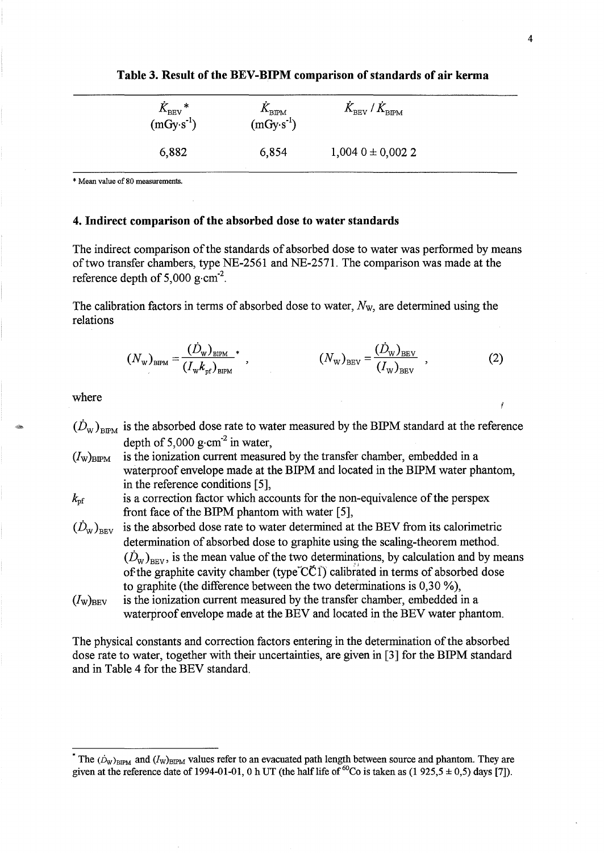| ∗<br>$K_{\rm BEV}$<br>$(mGy·s^{-1})$ | $\Lambda_{\rm BIPM}$<br>$(mGy·s-1)$ | $\dot{K}_{\rm BEV}$ / $\dot{K}_{\rm BIPM}$ |  |
|--------------------------------------|-------------------------------------|--------------------------------------------|--|
| 6,882                                | 6,854                               | $1,0040 \pm 0,0022$                        |  |

**Table 3. Result of the BEV -BIPM comparison of standards of air kerma** 

\* Mean value of 80 measurements.

## **4. Indirect comparison of the absorbed dose to water standards**

The indirect comparison of the standards of absorbed dose to water was performed by means of two transfer chambers, type NE-2561 and NE-2571. The comparison was made at the reference depth of 5,000 g $\cdot$ cm<sup>-2</sup>.

The calibration factors in terms of absorbed dose to water, *Nw,* are determined using the relations

$$
(N_{\rm w})_{\rm BIPM} = \frac{(D_{\rm w})_{\rm BIPM}}{(I_{\rm w}k_{\rm pf})_{\rm BIPM}}^* \,, \qquad (N_{\rm w})_{\rm BEV} = \frac{(D_{\rm w})_{\rm BEV}}{(I_{\rm w})_{\rm BEV}} \,, \tag{2}
$$

where

- $(D_w)_{BPM}$  is the absorbed dose rate to water measured by the BIPM standard at the reference depth of 5,000 g $\cdot$ cm<sup>-2</sup> in water,
- $(I_w)_{BIPM}$  is the ionization current measured by the transfer chamber, embedded in a waterproof envelope made at the BIPM and located in the BIPM water phantom, in the reference conditions [5],

 $k<sub>pf</sub>$  is a correction factor which accounts for the non-equivalence of the perspex front face of the BIPM phantom with water [5],

- $(\dot{D}_{w})_{B_{\text{RW}}}$  is the absorbed dose rate to water determined at the BEV from its calorimetric determination of absorbed dose to graphite using the scaling-theorem method.  $(\dot{D}_{W})_{BEV}$ , is the mean value of the two determinations, by calculation and by means of the graphite cavity chamber (type CCI) calibrated in terms of absorbed dose to graphite (the difference between the two determinations is 0,30 %),  $(I_w)_{BEV}$  is the ionization current measured by the transfer chamber, embedded in a
- waterproof envelope made at the BEV and located in the BEV water phantom.

The physical constants and correction factors entering in the determination of the absorbed dose rate to water, together with their uncertainties, are given in [3] for the BIPM standard and in Table 4 for the BEV standard.

The  $(\dot{D}_W)_{BIPM}$  and  $(I_W)_{BIPM}$  values refer to an evacuated path length between source and phantom. They are given at the reference date of 1994-01-01, 0 h UT (the half life of <sup>60</sup>Co is taken as (1 925,5  $\pm$  0,5) days [7]).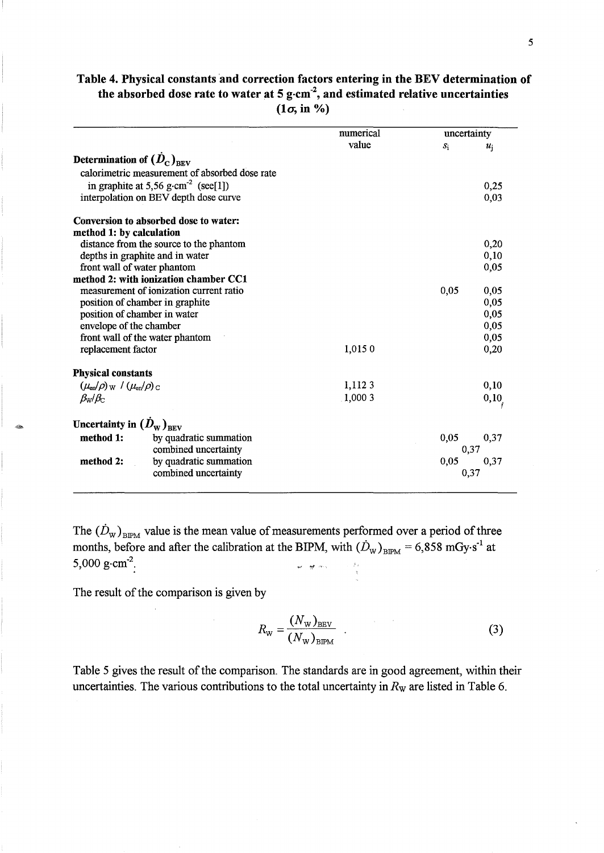# Table 4. Physical constants and correction factors entering in the BEV determination of the absorbed dose rate to water at 5  $g$  cm<sup>-2</sup>, and estimated relative uncertainties  $(1\sigma, in \%)$

|                                                               |                                                 | numerical | uncertainty |       |  |
|---------------------------------------------------------------|-------------------------------------------------|-----------|-------------|-------|--|
|                                                               |                                                 | value     | $S_1$       | $u_i$ |  |
| Determination of $(D_{\rm c})_{\rm REV}$                      |                                                 |           |             |       |  |
|                                                               | calorimetric measurement of absorbed dose rate  |           |             |       |  |
|                                                               | in graphite at 5,56 g·cm <sup>-2</sup> (see[1]) |           |             | 0,25  |  |
|                                                               | interpolation on BEV depth dose curve           |           |             | 0,03  |  |
|                                                               | Conversion to absorbed dose to water:           |           |             |       |  |
| method 1: by calculation                                      |                                                 |           |             |       |  |
|                                                               | distance from the source to the phantom         |           |             | 0,20  |  |
|                                                               | depths in graphite and in water                 |           |             | 0,10  |  |
|                                                               | front wall of water phantom                     |           |             | 0,05  |  |
|                                                               | method 2: with ionization chamber CC1           |           |             |       |  |
| measurement of ionization current ratio                       |                                                 |           | 0,05        | 0,05  |  |
|                                                               | position of chamber in graphite                 |           |             | 0,05  |  |
| position of chamber in water                                  |                                                 |           |             | 0,05  |  |
| envelope of the chamber                                       |                                                 |           |             | 0,05  |  |
| front wall of the water phantom                               |                                                 |           |             | 0,05  |  |
| replacement factor                                            |                                                 | 1,0150    |             | 0,20  |  |
| <b>Physical constants</b>                                     |                                                 |           |             |       |  |
| $(\mu_{\rm en}/\rho)_{\rm W}$ / $(\mu_{\rm en}/\rho)_{\rm C}$ |                                                 | 1,1123    |             | 0,10  |  |
| $\beta_{\rm W}/\beta_{\rm C}$                                 |                                                 | .1,0003   |             | 0, 10 |  |
| Uncertainty in $(\dot{D}_{\rm w})_{\rm REV}$                  |                                                 |           |             |       |  |
| method 1:                                                     | by quadratic summation                          |           | 0,05        | 0,37  |  |
|                                                               | combined uncertainty                            |           |             | 0,37  |  |
| method 2:                                                     | by quadratic summation                          |           | 0,05        | 0,37  |  |
|                                                               | combined uncertainty                            |           | 0,37        |       |  |
|                                                               |                                                 |           |             |       |  |

The  $(\dot{D}_{\rm w})_{\rm BPM}$  value is the mean value of measurements performed over a period of three months, before and after the calibration at the BIPM, with  $(D_w)_{BIPM} = 6,858 \text{ mGy} \cdot \text{s}^{-1}$  at 5,000 g·cm<sup>-2</sup>. 5,000  $g \cdot cm^{-2}$ .  $\omega$  .  $\omega$  and  $\omega$ 

The result of the comparison is given by

$$
R_{\rm w} = \frac{(N_{\rm w})_{\rm BEV}}{(N_{\rm w})_{\rm BPM}} \tag{3}
$$

Table 5 gives the result of the comparison. The standards are in good agreement, within their uncertainties. The various contributions to the total uncertainty in *Rw* are listed in Table 6.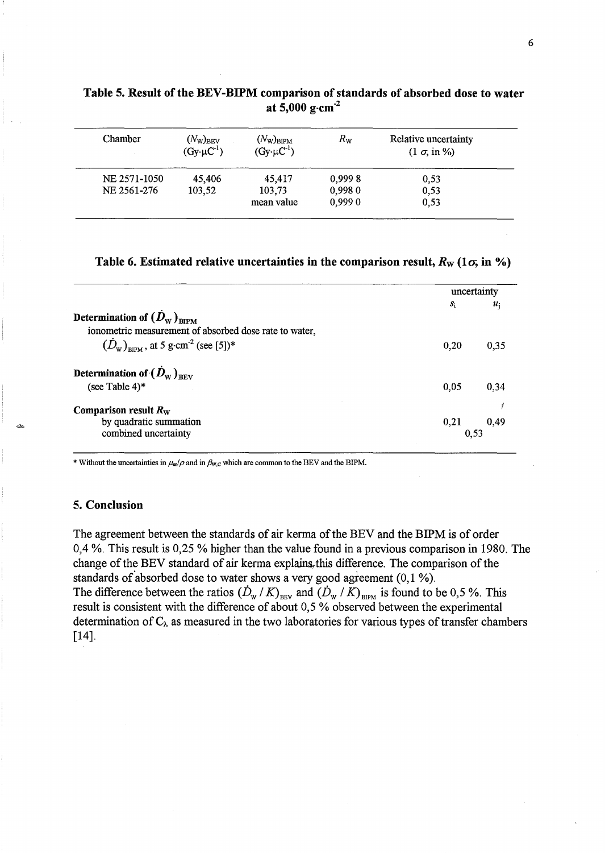| Chamber      | $(N_{\rm W})_{\rm BEV}$<br>$(Gy \cdot \mu C^{-1})$ | $(N_{\rm W})_{\rm BIPM}$<br>$(Gy \cdot \mu C^{-1})$ | $R_{\rm W}$ | Relative uncertainty<br>$(1 \sigma, in \%)$ |
|--------------|----------------------------------------------------|-----------------------------------------------------|-------------|---------------------------------------------|
| NE 2571-1050 | 45,406                                             | 45,417                                              | 0,9998      | 0,53                                        |
| NE 2561-276  | 103,52                                             | 103,73                                              | 0,9980      | 0,53                                        |
|              |                                                    | mean value                                          | 0,9990      | 0,53                                        |

# Table 5. Result of the BEV-BIPM comparison of standards of absorbed dose to water at 5,000 g $cm<sup>-2</sup>$

Table 6. Estimated relative uncertainties in the comparison result,  $R_W$  (1 $\sigma$ , in %)

|                                                             | uncertainty |       |
|-------------------------------------------------------------|-------------|-------|
|                                                             | $S_i$       | $u_i$ |
| Determination of $(D_{\text{w}})_{\text{RIPM}}$             |             |       |
| ionometric measurement of absorbed dose rate to water,      |             |       |
| $(D_{\rm w})_{\rm nP}$ , at 5 g·cm <sup>-2</sup> (see [5])* | 0,20        | 0.35  |
| Determination of $(D_{\text{w}})_{\text{new}}$              |             |       |
| (see Table 4)*                                              | 0.05        | 0.34  |
| Comparison result $R_W$                                     |             |       |
| by quadratic summation                                      | 0,21        | 0,49  |
| combined uncertainty                                        | 0.53        |       |

\* Without the uncertainties in  $\mu_{\rm en}/\rho$  and in  $\beta_{\rm W,C}$  which are common to the BEV and the BIPM.

## 5. Conclusion

The agreement between the standards of air kerma of the BEV and the BIPM is of order 0,4 %, This result is 0,25 % higher than the value found in a previous comparison in 1980, The change of the BEV standard of air kerma explains this difference. The comparison of the standards of absorbed dose to water shows a very good agreement  $(0,1\%)$ . The difference between the ratios  $(\dot{D}_{w}/K)_{BEV}$  and  $(\dot{D}_{w}/K)_{BIFM}$  is found to be 0,5 %. This result is consistent with the difference of about 0,5 % observed between the experimental determination of  $C_{\lambda}$  as measured in the two laboratories for various types of transfer chambers [14].